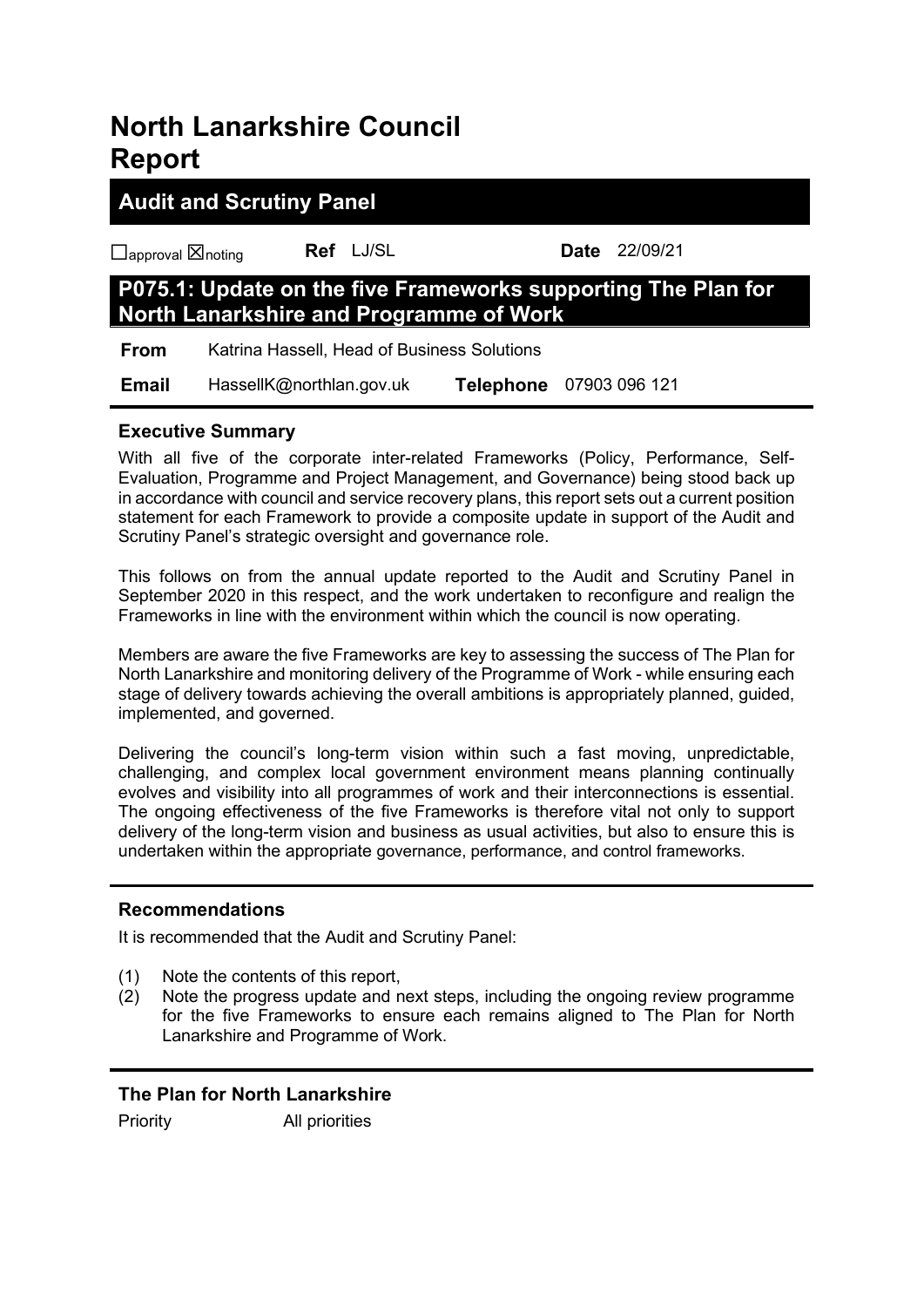# **North Lanarkshire Council Report**

# **Audit and Scrutiny Panel**

☐approval ☒noting **Ref** LJ/SL **Date** 22/09/21

# **P075.1: Update on the five Frameworks supporting The Plan for North Lanarkshire and Programme of Work**

**From** Katrina Hassell, Head of Business Solutions

 **Email** HassellK@northlan.gov.uk **Telephone** 07903 096 121

# **Executive Summary**

With all five of the corporate inter-related Frameworks (Policy, Performance, Self-Evaluation, Programme and Project Management, and Governance) being stood back up in accordance with council and service recovery plans, this report sets out a current position statement for each Framework to provide a composite update in support of the Audit and Scrutiny Panel's strategic oversight and governance role.

This follows on from the annual update reported to the Audit and Scrutiny Panel in September 2020 in this respect, and the work undertaken to reconfigure and realign the Frameworks in line with the environment within which the council is now operating.

Members are aware the five Frameworks are key to assessing the success of The Plan for North Lanarkshire and monitoring delivery of the Programme of Work - while ensuring each stage of delivery towards achieving the overall ambitions is appropriately planned, guided, implemented, and governed.

Delivering the council's long-term vision within such a fast moving, unpredictable, challenging, and complex local government environment means planning continually evolves and visibility into all programmes of work and their interconnections is essential. The ongoing effectiveness of the five Frameworks is therefore vital not only to support delivery of the long-term vision and business as usual activities, but also to ensure this is undertaken within the appropriate governance, performance, and control frameworks.

# **Recommendations**

It is recommended that the Audit and Scrutiny Panel:

- (1) Note the contents of this report,
- (2) Note the progress update and next steps, including the ongoing review programme for the five Frameworks to ensure each remains aligned to The Plan for North Lanarkshire and Programme of Work.

# **The Plan for North Lanarkshire**

Priority All priorities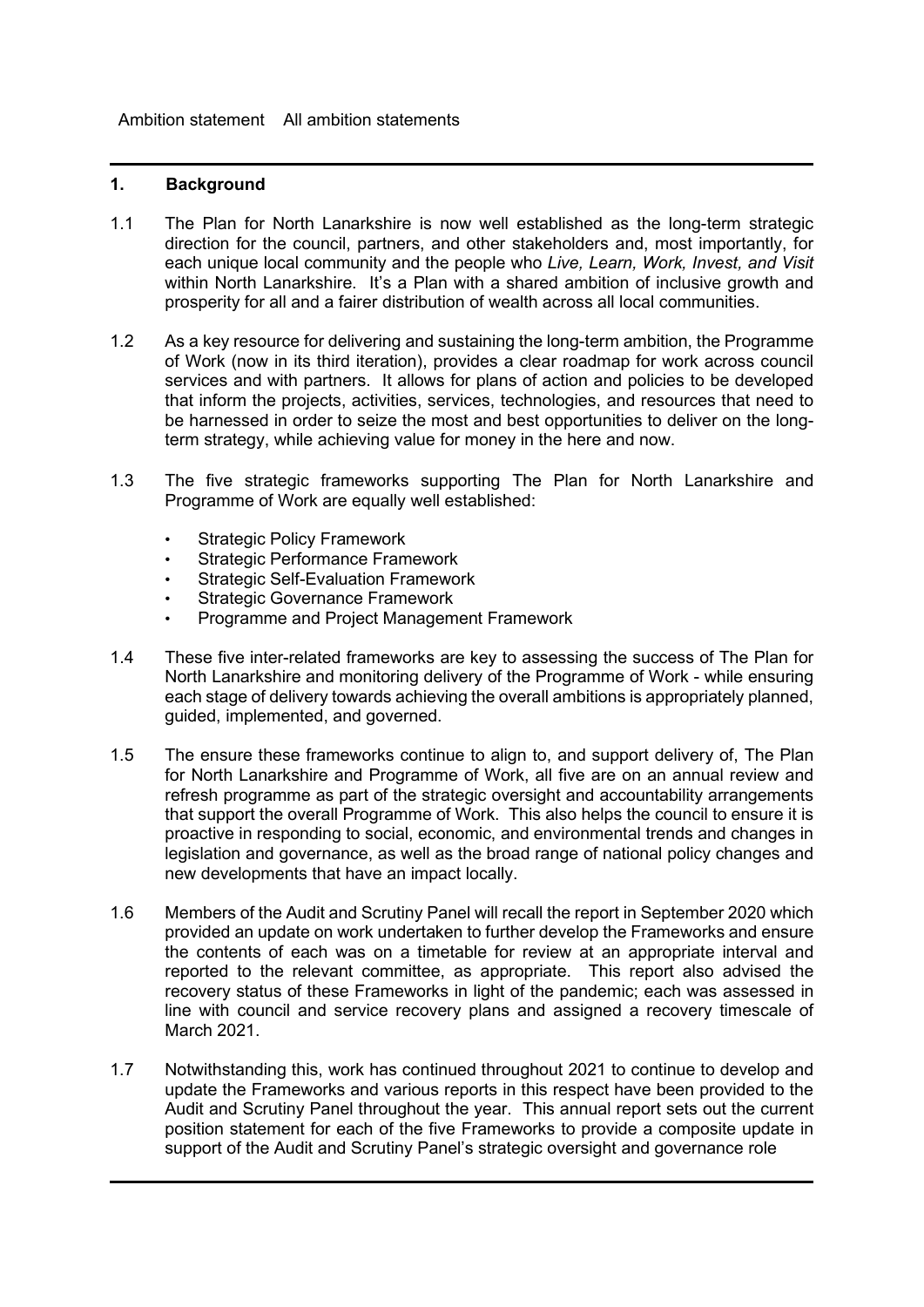Ambition statement All ambition statements

- 1.1 The Plan for North Lanarkshire is now well established as the long-term strategic direction for the council, partners, and other stakeholders and, most importantly, for each unique local community and the people who *Live, Learn, Work, Invest, and Visit* within North Lanarkshire. It's a Plan with a shared ambition of inclusive growth and prosperity for all and a fairer distribution of wealth across all local communities.
- 1.2 As a key resource for delivering and sustaining the long-term ambition, the Programme of Work (now in its third iteration), provides a clear roadmap for work across council services and with partners. It allows for plans of action and policies to be developed that inform the projects, activities, services, technologies, and resources that need to be harnessed in order to seize the most and best opportunities to deliver on the longterm strategy, while achieving value for money in the here and now.
- 1.3 The five strategic frameworks supporting The Plan for North Lanarkshire and Programme of Work are equally well established:
	- **Strategic Policy Framework**
	- Strategic Performance Framework
	- **Strategic Self-Evaluation Framework**
	- Strategic Governance Framework
	- Programme and Project Management Framework
- 1.4 These five inter-related frameworks are key to assessing the success of The Plan for North Lanarkshire and monitoring delivery of the Programme of Work - while ensuring each stage of delivery towards achieving the overall ambitions is appropriately planned, guided, implemented, and governed.
- 1.5 The ensure these frameworks continue to align to, and support delivery of, The Plan for North Lanarkshire and Programme of Work, all five are on an annual review and refresh programme as part of the strategic oversight and accountability arrangements that support the overall Programme of Work. This also helps the council to ensure it is proactive in responding to social, economic, and environmental trends and changes in legislation and governance, as well as the broad range of national policy changes and new developments that have an impact locally.
- 1.6 Members of the Audit and Scrutiny Panel will recall the report in September 2020 which provided an update on work undertaken to further develop the Frameworks and ensure the contents of each was on a timetable for review at an appropriate interval and reported to the relevant committee, as appropriate. This report also advised the recovery status of these Frameworks in light of the pandemic; each was assessed in line with council and service recovery plans and assigned a recovery timescale of March 2021.
- 1.7 Notwithstanding this, work has continued throughout 2021 to continue to develop and update the Frameworks and various reports in this respect have been provided to the Audit and Scrutiny Panel throughout the year. This annual report sets out the current position statement for each of the five Frameworks to provide a composite update in support of the Audit and Scrutiny Panel's strategic oversight and governance role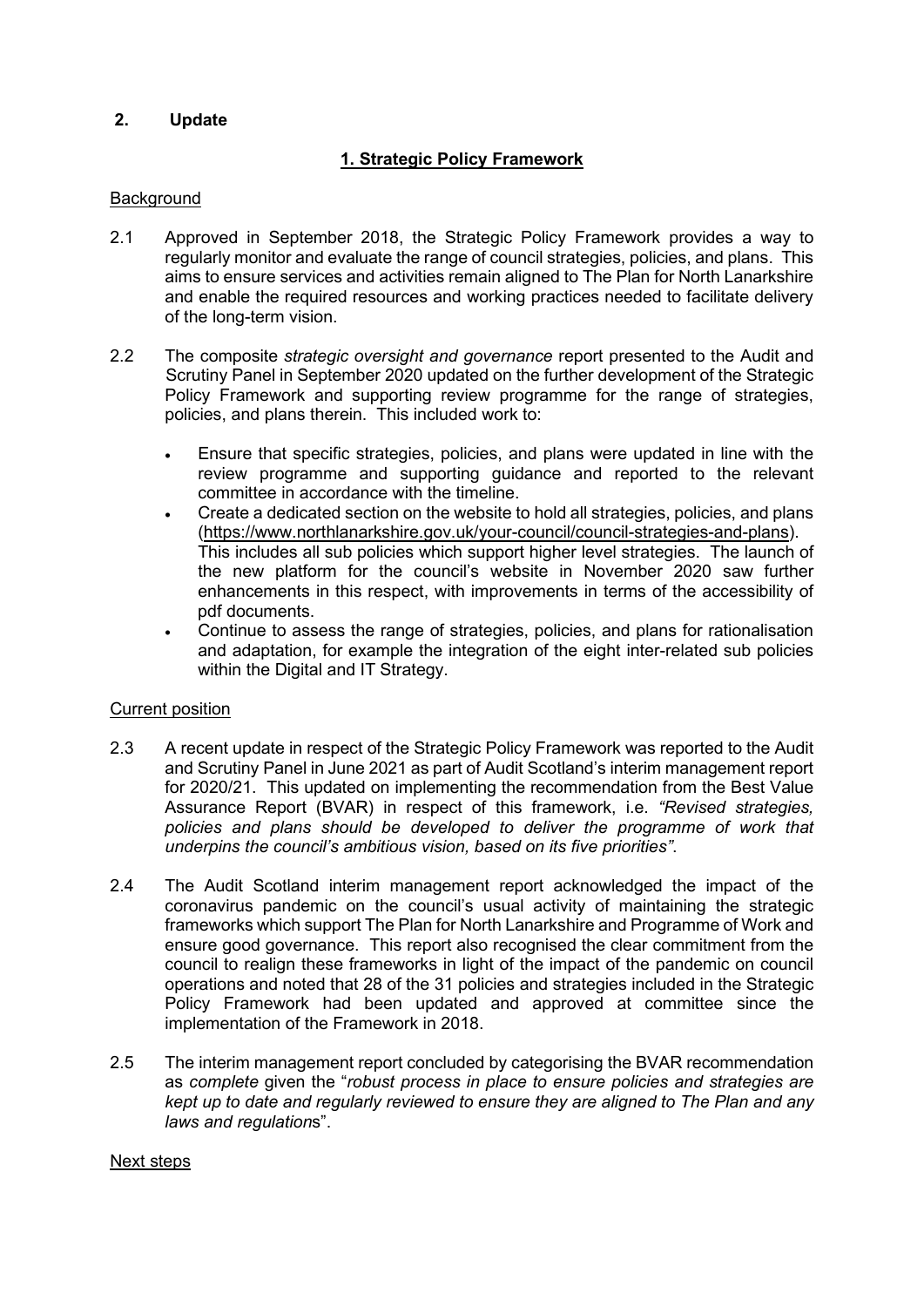# **2. Update**

# **1. Strategic Policy Framework**

#### **Background**

- 2.1 Approved in September 2018, the Strategic Policy Framework provides a way to regularly monitor and evaluate the range of council strategies, policies, and plans. This aims to ensure services and activities remain aligned to The Plan for North Lanarkshire and enable the required resources and working practices needed to facilitate delivery of the long-term vision.
- 2.2 The composite *strategic oversight and governance* report presented to the Audit and Scrutiny Panel in September 2020 updated on the further development of the Strategic Policy Framework and supporting review programme for the range of strategies, policies, and plans therein. This included work to:
	- Ensure that specific strategies, policies, and plans were updated in line with the review programme and supporting guidance and reported to the relevant committee in accordance with the timeline.
	- Create a dedicated section on the website to hold all strategies, policies, and plans [\(https://www.northlanarkshire.gov.uk/your-council/council-strategies-and-plans\)](https://www.northlanarkshire.gov.uk/your-council/council-strategies-and-plans). This includes all sub policies which support higher level strategies. The launch of the new platform for the council's website in November 2020 saw further enhancements in this respect, with improvements in terms of the accessibility of pdf documents.
	- Continue to assess the range of strategies, policies, and plans for rationalisation and adaptation, for example the integration of the eight inter-related sub policies within the Digital and IT Strategy.

#### Current position

- 2.3 A recent update in respect of the Strategic Policy Framework was reported to the Audit and Scrutiny Panel in June 2021 as part of Audit Scotland's interim management report for 2020/21. This updated on implementing the recommendation from the Best Value Assurance Report (BVAR) in respect of this framework, i.e. *"Revised strategies,*  policies and plans should be developed to deliver the programme of work that *underpins the council's ambitious vision, based on its five priorities"*.
- 2.4 The Audit Scotland interim management report acknowledged the impact of the coronavirus pandemic on the council's usual activity of maintaining the strategic frameworks which support The Plan for North Lanarkshire and Programme of Work and ensure good governance. This report also recognised the clear commitment from the council to realign these frameworks in light of the impact of the pandemic on council operations and noted that 28 of the 31 policies and strategies included in the Strategic Policy Framework had been updated and approved at committee since the implementation of the Framework in 2018.
- 2.5 The interim management report concluded by categorising the BVAR recommendation as *complete* given the "*robust process in place to ensure policies and strategies are kept up to date and regularly reviewed to ensure they are aligned to The Plan and any laws and regulation*s".

#### Next steps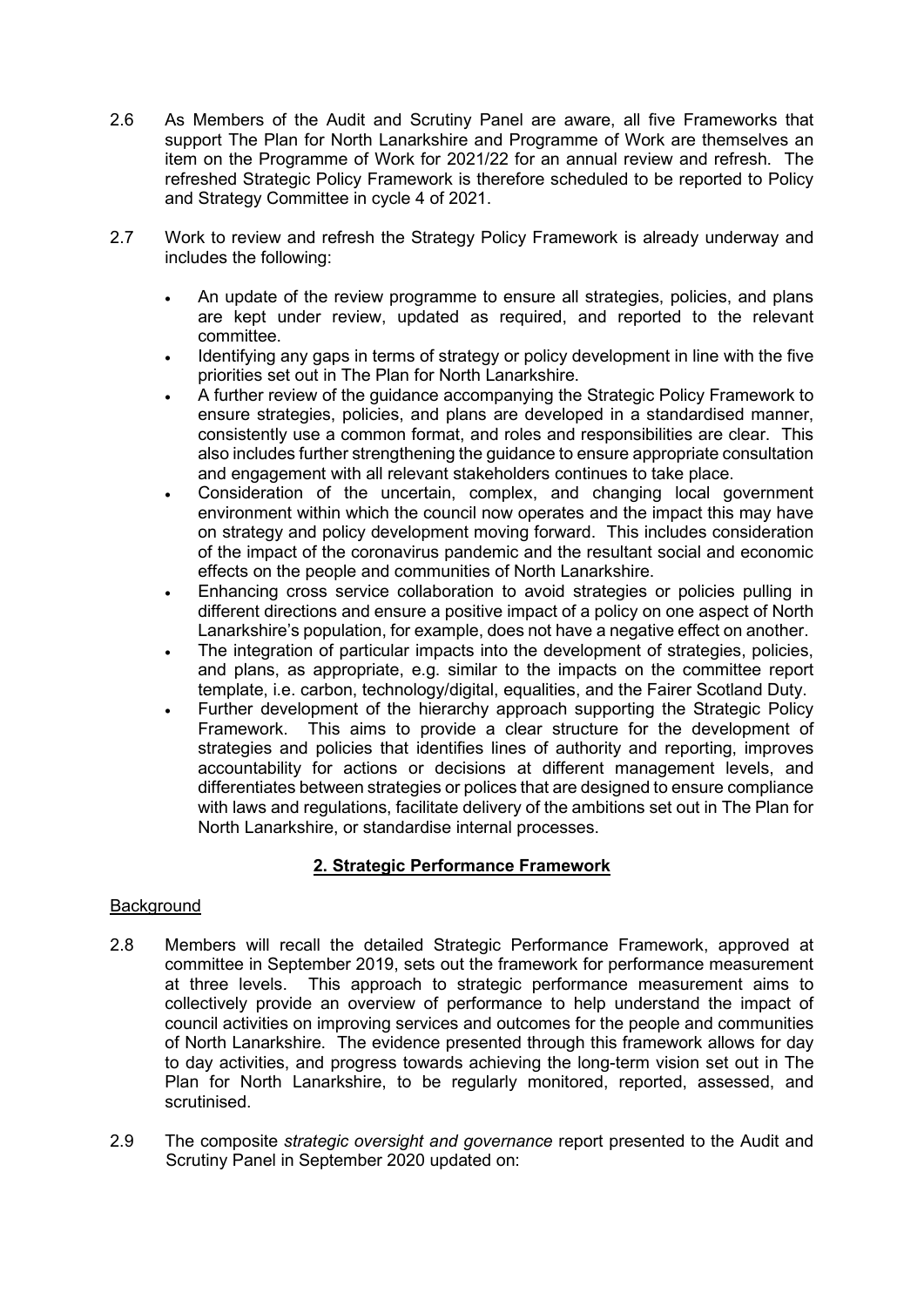- 2.6 As Members of the Audit and Scrutiny Panel are aware, all five Frameworks that support The Plan for North Lanarkshire and Programme of Work are themselves an item on the Programme of Work for 2021/22 for an annual review and refresh. The refreshed Strategic Policy Framework is therefore scheduled to be reported to Policy and Strategy Committee in cycle 4 of 2021.
- 2.7 Work to review and refresh the Strategy Policy Framework is already underway and includes the following:
	- An update of the review programme to ensure all strategies, policies, and plans are kept under review, updated as required, and reported to the relevant committee.
	- Identifying any gaps in terms of strategy or policy development in line with the five priorities set out in The Plan for North Lanarkshire.
	- A further review of the guidance accompanying the Strategic Policy Framework to ensure strategies, policies, and plans are developed in a standardised manner, consistently use a common format, and roles and responsibilities are clear. This also includes further strengthening the guidance to ensure appropriate consultation and engagement with all relevant stakeholders continues to take place.
	- Consideration of the uncertain, complex, and changing local government environment within which the council now operates and the impact this may have on strategy and policy development moving forward. This includes consideration of the impact of the coronavirus pandemic and the resultant social and economic effects on the people and communities of North Lanarkshire.
	- Enhancing cross service collaboration to avoid strategies or policies pulling in different directions and ensure a positive impact of a policy on one aspect of North Lanarkshire's population, for example, does not have a negative effect on another.
	- The integration of particular impacts into the development of strategies, policies, and plans, as appropriate, e.g. similar to the impacts on the committee report template, i.e. carbon, technology/digital, equalities, and the Fairer Scotland Duty.
	- Further development of the hierarchy approach supporting the Strategic Policy Framework. This aims to provide a clear structure for the development of strategies and policies that identifies lines of authority and reporting, improves accountability for actions or decisions at different management levels, and differentiates between strategies or polices that are designed to ensure compliance with laws and regulations, facilitate delivery of the ambitions set out in The Plan for North Lanarkshire, or standardise internal processes.

# **2. Strategic Performance Framework**

- 2.8 Members will recall the detailed Strategic Performance Framework, approved at committee in September 2019, sets out the framework for performance measurement at three levels. This approach to strategic performance measurement aims to collectively provide an overview of performance to help understand the impact of council activities on improving services and outcomes for the people and communities of North Lanarkshire. The evidence presented through this framework allows for day to day activities, and progress towards achieving the long-term vision set out in The Plan for North Lanarkshire, to be regularly monitored, reported, assessed, and scrutinised.
- 2.9 The composite *strategic oversight and governance* report presented to the Audit and Scrutiny Panel in September 2020 updated on: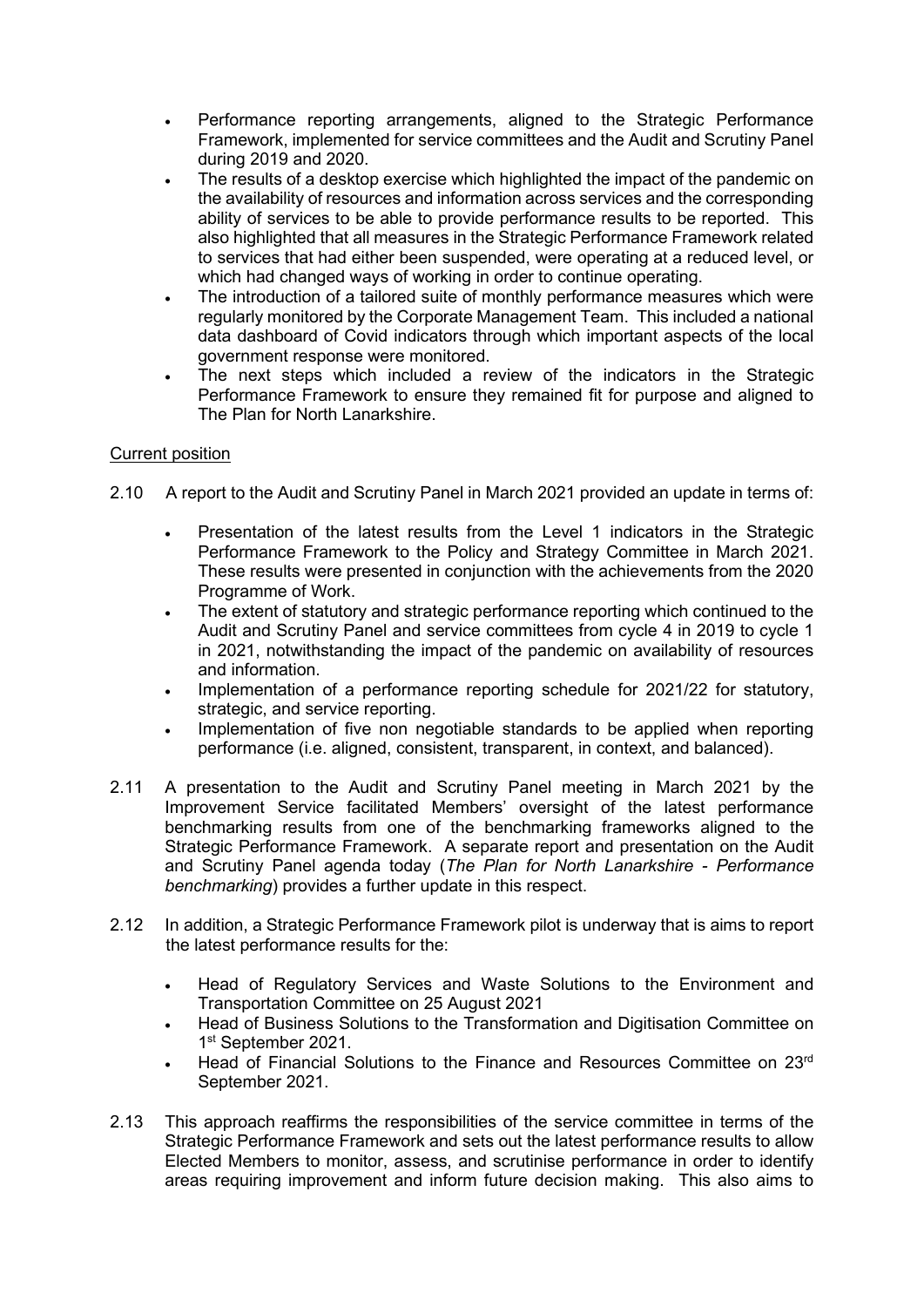- Performance reporting arrangements, aligned to the Strategic Performance Framework, implemented for service committees and the Audit and Scrutiny Panel during 2019 and 2020.
- The results of a desktop exercise which highlighted the impact of the pandemic on the availability of resources and information across services and the corresponding ability of services to be able to provide performance results to be reported. This also highlighted that all measures in the Strategic Performance Framework related to services that had either been suspended, were operating at a reduced level, or which had changed ways of working in order to continue operating.
- The introduction of a tailored suite of monthly performance measures which were regularly monitored by the Corporate Management Team. This included a national data dashboard of Covid indicators through which important aspects of the local government response were monitored.
- The next steps which included a review of the indicators in the Strategic Performance Framework to ensure they remained fit for purpose and aligned to The Plan for North Lanarkshire.

# Current position

- 2.10 A report to the Audit and Scrutiny Panel in March 2021 provided an update in terms of:
	- Presentation of the latest results from the Level 1 indicators in the Strategic Performance Framework to the Policy and Strategy Committee in March 2021. These results were presented in conjunction with the achievements from the 2020 Programme of Work.
	- The extent of statutory and strategic performance reporting which continued to the Audit and Scrutiny Panel and service committees from cycle 4 in 2019 to cycle 1 in 2021, notwithstanding the impact of the pandemic on availability of resources and information.
	- Implementation of a performance reporting schedule for 2021/22 for statutory, strategic, and service reporting.
	- Implementation of five non negotiable standards to be applied when reporting performance (i.e. aligned, consistent, transparent, in context, and balanced).
- 2.11 A presentation to the Audit and Scrutiny Panel meeting in March 2021 by the Improvement Service facilitated Members' oversight of the latest performance benchmarking results from one of the benchmarking frameworks aligned to the Strategic Performance Framework. A separate report and presentation on the Audit and Scrutiny Panel agenda today (*The Plan for North Lanarkshire - Performance benchmarking*) provides a further update in this respect.
- 2.12 In addition, a Strategic Performance Framework pilot is underway that is aims to report the latest performance results for the:
	- Head of Regulatory Services and Waste Solutions to the Environment and Transportation Committee on 25 August 2021
	- Head of Business Solutions to the Transformation and Digitisation Committee on 1st September 2021.
	- Head of Financial Solutions to the Finance and Resources Committee on 23rd September 2021.
- 2.13 This approach reaffirms the responsibilities of the service committee in terms of the Strategic Performance Framework and sets out the latest performance results to allow Elected Members to monitor, assess, and scrutinise performance in order to identify areas requiring improvement and inform future decision making. This also aims to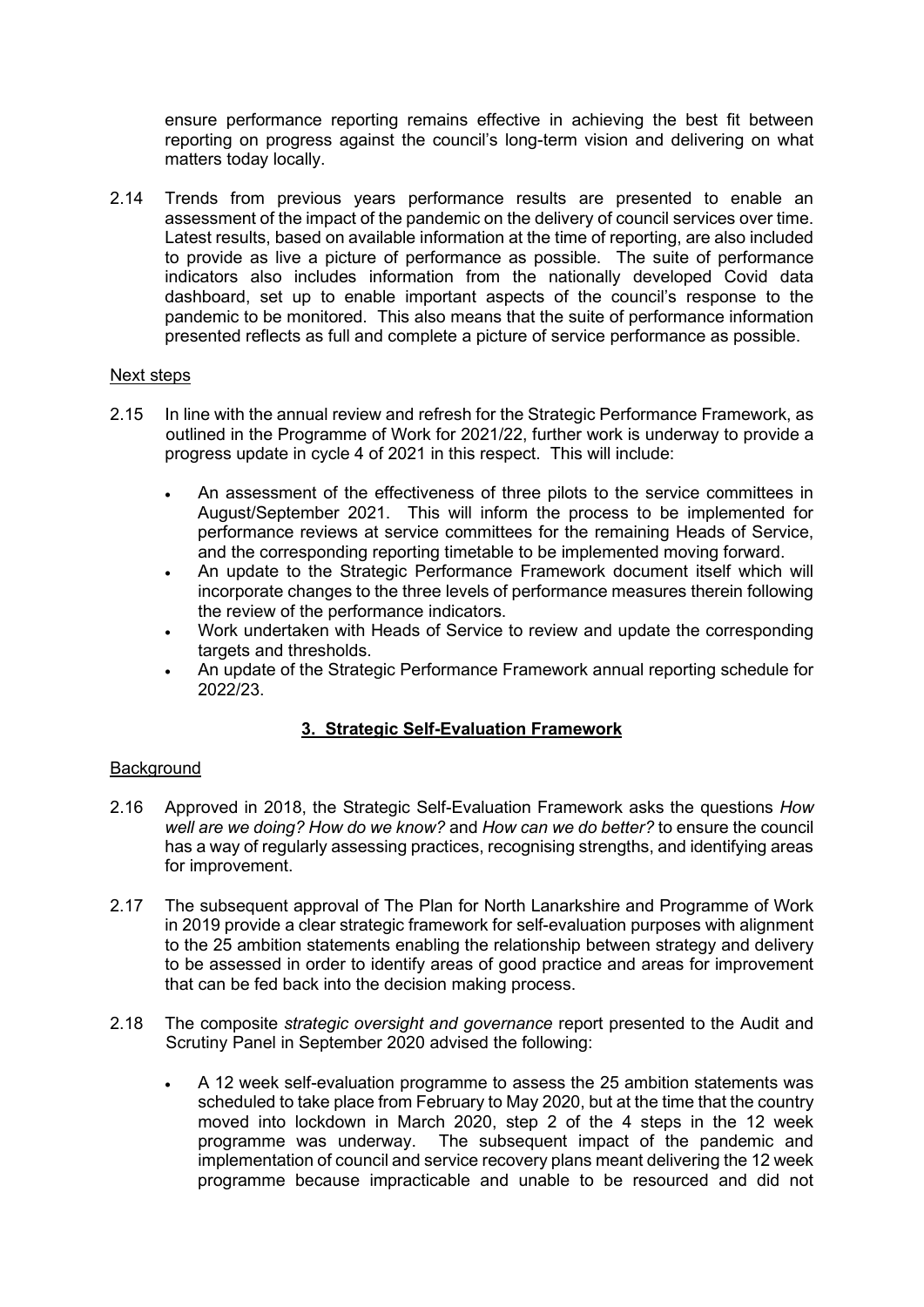ensure performance reporting remains effective in achieving the best fit between reporting on progress against the council's long-term vision and delivering on what matters today locally.

2.14 Trends from previous years performance results are presented to enable an assessment of the impact of the pandemic on the delivery of council services over time. Latest results, based on available information at the time of reporting, are also included to provide as live a picture of performance as possible. The suite of performance indicators also includes information from the nationally developed Covid data dashboard, set up to enable important aspects of the council's response to the pandemic to be monitored. This also means that the suite of performance information presented reflects as full and complete a picture of service performance as possible.

# Next steps

- 2.15 In line with the annual review and refresh for the Strategic Performance Framework, as outlined in the Programme of Work for 2021/22, further work is underway to provide a progress update in cycle 4 of 2021 in this respect. This will include:
	- An assessment of the effectiveness of three pilots to the service committees in August/September 2021. This will inform the process to be implemented for performance reviews at service committees for the remaining Heads of Service, and the corresponding reporting timetable to be implemented moving forward.
	- An update to the Strategic Performance Framework document itself which will incorporate changes to the three levels of performance measures therein following the review of the performance indicators.
	- Work undertaken with Heads of Service to review and update the corresponding targets and thresholds.
	- An update of the Strategic Performance Framework annual reporting schedule for 2022/23.

# **3. Strategic Self-Evaluation Framework**

- 2.16 Approved in 2018, the Strategic Self-Evaluation Framework asks the questions *How well are we doing? How do we know?* and *How can we do better?* to ensure the council has a way of regularly assessing practices, recognising strengths, and identifying areas for improvement.
- 2.17 The subsequent approval of The Plan for North Lanarkshire and Programme of Work in 2019 provide a clear strategic framework for self-evaluation purposes with alignment to the 25 ambition statements enabling the relationship between strategy and delivery to be assessed in order to identify areas of good practice and areas for improvement that can be fed back into the decision making process.
- 2.18 The composite *strategic oversight and governance* report presented to the Audit and Scrutiny Panel in September 2020 advised the following:
	- A 12 week self-evaluation programme to assess the 25 ambition statements was scheduled to take place from February to May 2020, but at the time that the country moved into lockdown in March 2020, step 2 of the 4 steps in the 12 week programme was underway. The subsequent impact of the pandemic and implementation of council and service recovery plans meant delivering the 12 week programme because impracticable and unable to be resourced and did not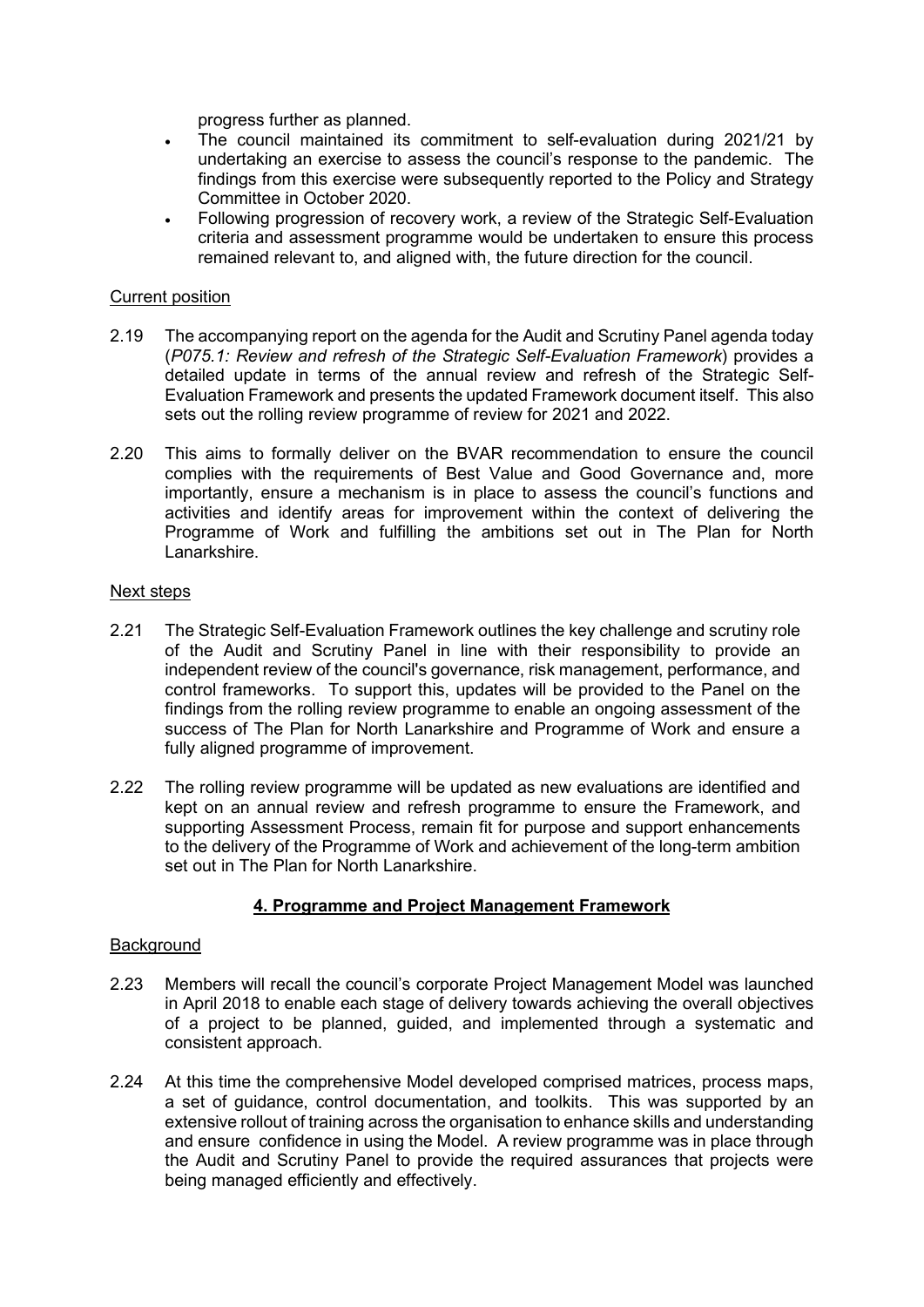progress further as planned.

- The council maintained its commitment to self-evaluation during 2021/21 by undertaking an exercise to assess the council's response to the pandemic. The findings from this exercise were subsequently reported to the Policy and Strategy Committee in October 2020.
- Following progression of recovery work, a review of the Strategic Self-Evaluation criteria and assessment programme would be undertaken to ensure this process remained relevant to, and aligned with, the future direction for the council.

#### Current position

- 2.19 The accompanying report on the agenda for the Audit and Scrutiny Panel agenda today (*P075.1: Review and refresh of the Strategic Self-Evaluation Framework*) provides a detailed update in terms of the annual review and refresh of the Strategic Self-Evaluation Framework and presents the updated Framework document itself. This also sets out the rolling review programme of review for 2021 and 2022.
- 2.20 This aims to formally deliver on the BVAR recommendation to ensure the council complies with the requirements of Best Value and Good Governance and, more importantly, ensure a mechanism is in place to assess the council's functions and activities and identify areas for improvement within the context of delivering the Programme of Work and fulfilling the ambitions set out in The Plan for North Lanarkshire.

#### Next steps

- 2.21 The Strategic Self-Evaluation Framework outlines the key challenge and scrutiny role of the Audit and Scrutiny Panel in line with their responsibility to provide an independent review of the council's governance, risk management, performance, and control frameworks. To support this, updates will be provided to the Panel on the findings from the rolling review programme to enable an ongoing assessment of the success of The Plan for North Lanarkshire and Programme of Work and ensure a fully aligned programme of improvement.
- 2.22 The rolling review programme will be updated as new evaluations are identified and kept on an annual review and refresh programme to ensure the Framework, and supporting Assessment Process, remain fit for purpose and support enhancements to the delivery of the Programme of Work and achievement of the long-term ambition set out in The Plan for North Lanarkshire.

# **4. Programme and Project Management Framework**

- 2.23 Members will recall the council's corporate Project Management Model was launched in April 2018 to enable each stage of delivery towards achieving the overall objectives of a project to be planned, guided, and implemented through a systematic and consistent approach.
- 2.24 At this time the comprehensive Model developed comprised matrices, process maps, a set of guidance, control documentation, and toolkits. This was supported by an extensive rollout of training across the organisation to enhance skills and understanding and ensure confidence in using the Model. A review programme was in place through the Audit and Scrutiny Panel to provide the required assurances that projects were being managed efficiently and effectively.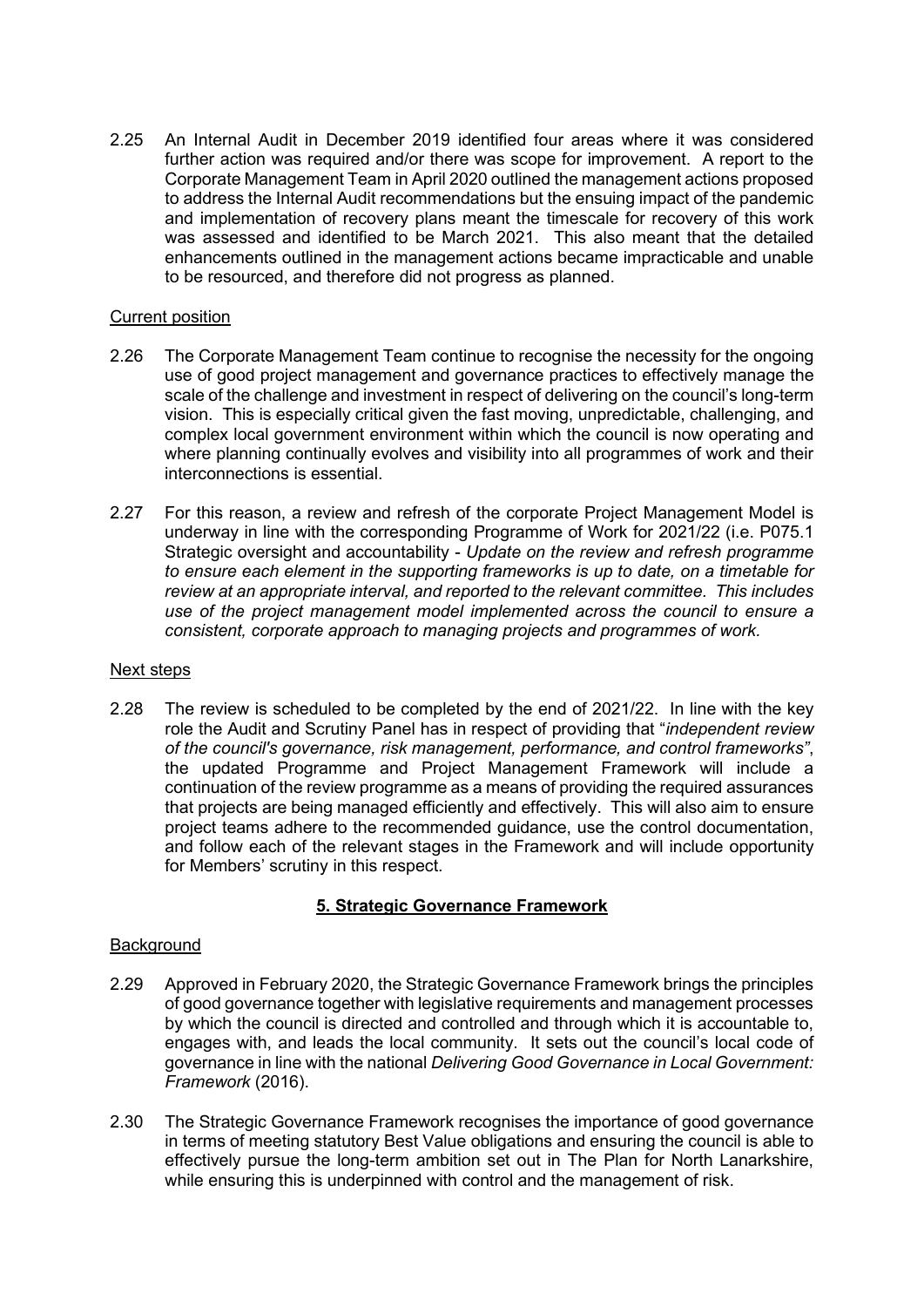2.25 An Internal Audit in December 2019 identified four areas where it was considered further action was required and/or there was scope for improvement. A report to the Corporate Management Team in April 2020 outlined the management actions proposed to address the Internal Audit recommendations but the ensuing impact of the pandemic and implementation of recovery plans meant the timescale for recovery of this work was assessed and identified to be March 2021. This also meant that the detailed enhancements outlined in the management actions became impracticable and unable to be resourced, and therefore did not progress as planned.

# Current position

- 2.26 The Corporate Management Team continue to recognise the necessity for the ongoing use of good project management and governance practices to effectively manage the scale of the challenge and investment in respect of delivering on the council's long-term vision. This is especially critical given the fast moving, unpredictable, challenging, and complex local government environment within which the council is now operating and where planning continually evolves and visibility into all programmes of work and their interconnections is essential.
- 2.27 For this reason, a review and refresh of the corporate Project Management Model is underway in line with the corresponding Programme of Work for 2021/22 (i.e. P075.1 Strategic oversight and accountability - *Update on the review and refresh programme to ensure each element in the supporting frameworks is up to date, on a timetable for review at an appropriate interval, and reported to the relevant committee. This includes use of the project management model implemented across the council to ensure a consistent, corporate approach to managing projects and programmes of work.*

#### Next steps

2.28 The review is scheduled to be completed by the end of 2021/22. In line with the key role the Audit and Scrutiny Panel has in respect of providing that "*independent review of the council's governance, risk management, performance, and control frameworks"*, the updated Programme and Project Management Framework will include a continuation of the review programme as a means of providing the required assurances that projects are being managed efficiently and effectively. This will also aim to ensure project teams adhere to the recommended guidance, use the control documentation, and follow each of the relevant stages in the Framework and will include opportunity for Members' scrutiny in this respect.

# **5. Strategic Governance Framework**

- 2.29 Approved in February 2020, the Strategic Governance Framework brings the principles of good governance together with legislative requirements and management processes by which the council is directed and controlled and through which it is accountable to, engages with, and leads the local community. It sets out the council's local code of governance in line with the national *Delivering Good Governance in Local Government: Framework* (2016).
- 2.30 The Strategic Governance Framework recognises the importance of good governance in terms of meeting statutory Best Value obligations and ensuring the council is able to effectively pursue the long-term ambition set out in The Plan for North Lanarkshire, while ensuring this is underpinned with control and the management of risk.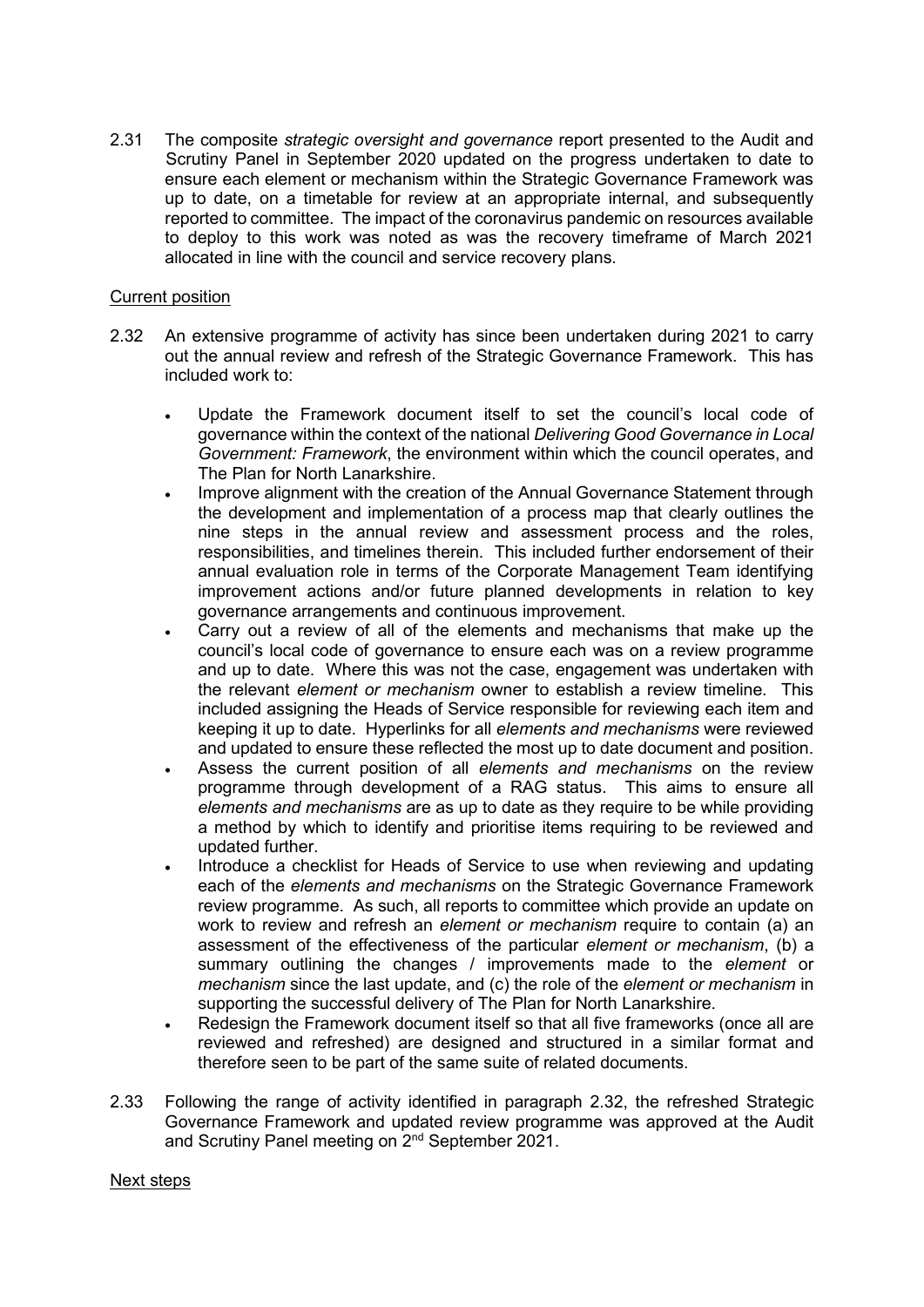2.31 The composite *strategic oversight and governance* report presented to the Audit and Scrutiny Panel in September 2020 updated on the progress undertaken to date to ensure each element or mechanism within the Strategic Governance Framework was up to date, on a timetable for review at an appropriate internal, and subsequently reported to committee. The impact of the coronavirus pandemic on resources available to deploy to this work was noted as was the recovery timeframe of March 2021 allocated in line with the council and service recovery plans.

# Current position

- 2.32 An extensive programme of activity has since been undertaken during 2021 to carry out the annual review and refresh of the Strategic Governance Framework. This has included work to:
	- Update the Framework document itself to set the council's local code of governance within the context of the national *Delivering Good Governance in Local Government: Framework*, the environment within which the council operates, and The Plan for North Lanarkshire.
	- Improve alignment with the creation of the Annual Governance Statement through the development and implementation of a process map that clearly outlines the nine steps in the annual review and assessment process and the roles, responsibilities, and timelines therein. This included further endorsement of their annual evaluation role in terms of the Corporate Management Team identifying improvement actions and/or future planned developments in relation to key governance arrangements and continuous improvement.
	- Carry out a review of all of the elements and mechanisms that make up the council's local code of governance to ensure each was on a review programme and up to date. Where this was not the case, engagement was undertaken with the relevant *element or mechanism* owner to establish a review timeline. This included assigning the Heads of Service responsible for reviewing each item and keeping it up to date. Hyperlinks for all *elements and mechanisms* were reviewed and updated to ensure these reflected the most up to date document and position.
	- Assess the current position of all *elements and mechanisms* on the review programme through development of a RAG status. This aims to ensure all *elements and mechanisms* are as up to date as they require to be while providing a method by which to identify and prioritise items requiring to be reviewed and updated further.
	- Introduce a checklist for Heads of Service to use when reviewing and updating each of the *elements and mechanisms* on the Strategic Governance Framework review programme. As such, all reports to committee which provide an update on work to review and refresh an *element or mechanism* require to contain (a) an assessment of the effectiveness of the particular *element or mechanism*, (b) a summary outlining the changes / improvements made to the *element* or *mechanism* since the last update, and (c) the role of the *element or mechanism* in supporting the successful delivery of The Plan for North Lanarkshire.
	- Redesign the Framework document itself so that all five frameworks (once all are reviewed and refreshed) are designed and structured in a similar format and therefore seen to be part of the same suite of related documents.
- 2.33 Following the range of activity identified in paragraph 2.32, the refreshed Strategic Governance Framework and updated review programme was approved at the Audit and Scrutiny Panel meeting on 2nd September 2021.

# Next steps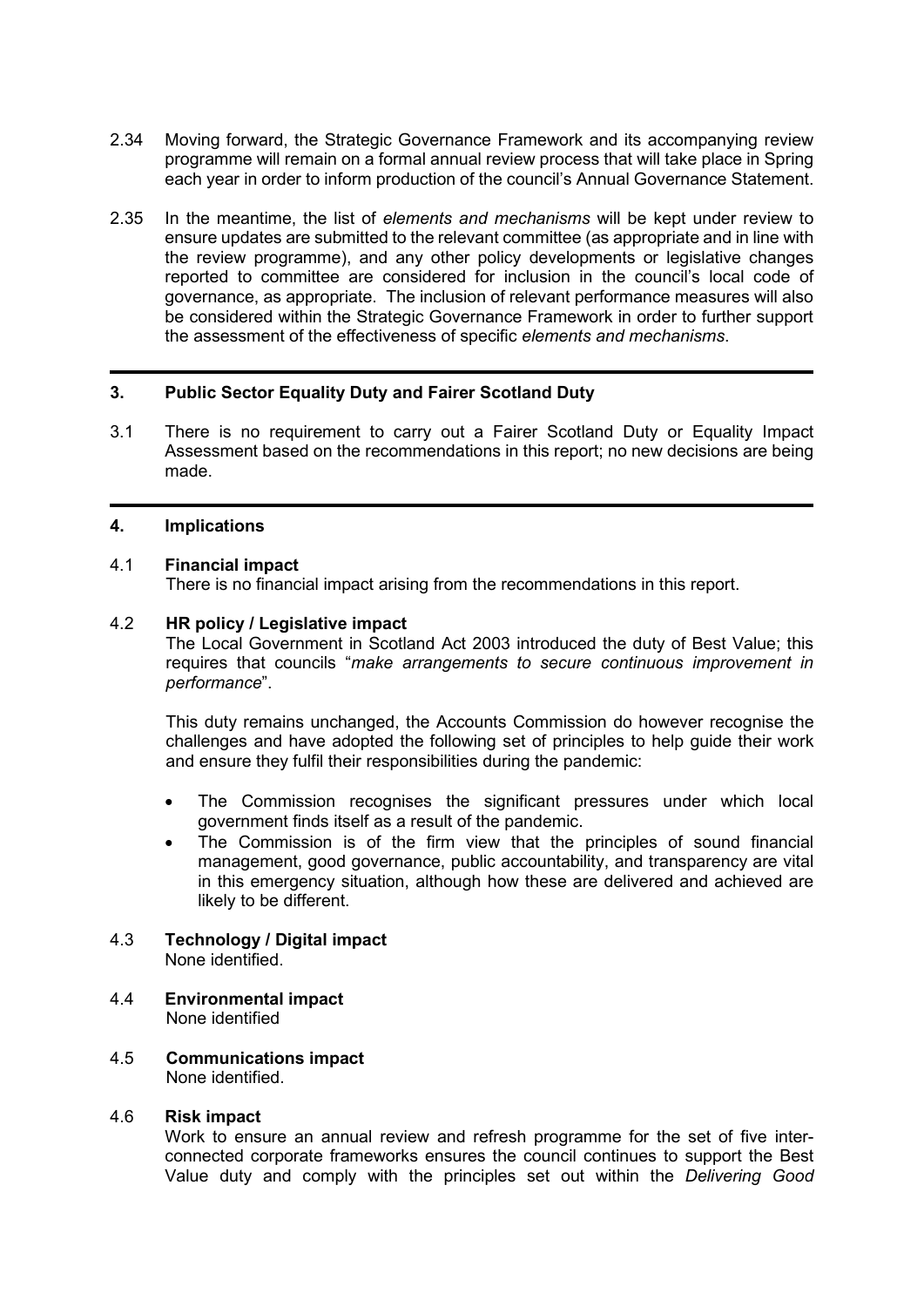- 2.34 Moving forward, the Strategic Governance Framework and its accompanying review programme will remain on a formal annual review process that will take place in Spring each year in order to inform production of the council's Annual Governance Statement.
- 2.35 In the meantime, the list of *elements and mechanisms* will be kept under review to ensure updates are submitted to the relevant committee (as appropriate and in line with the review programme), and any other policy developments or legislative changes reported to committee are considered for inclusion in the council's local code of governance, as appropriate. The inclusion of relevant performance measures will also be considered within the Strategic Governance Framework in order to further support the assessment of the effectiveness of specific *elements and mechanisms*.

# **3. Public Sector Equality Duty and Fairer Scotland Duty**

3.1 There is no requirement to carry out a Fairer Scotland Duty or Equality Impact Assessment based on the recommendations in this report; no new decisions are being made.

#### **4. Implications**

#### 4.1 **Financial impact**

There is no financial impact arising from the recommendations in this report.

#### 4.2 **HR policy / Legislative impact**

The Local Government in Scotland Act 2003 introduced the duty of Best Value; this requires that councils "*make arrangements to secure continuous improvement in performance*".

This duty remains unchanged, the Accounts Commission do however recognise the challenges and have adopted the following set of principles to help guide their work and ensure they fulfil their responsibilities during the pandemic:

- The Commission recognises the significant pressures under which local government finds itself as a result of the pandemic.
- The Commission is of the firm view that the principles of sound financial management, good governance, public accountability, and transparency are vital in this emergency situation, although how these are delivered and achieved are likely to be different.

#### 4.3 **Technology / Digital impact** None identified.

- 4.4 **Environmental impact** None identified
- 4.5 **Communications impact** None identified.

### 4.6 **Risk impact**

Work to ensure an annual review and refresh programme for the set of five interconnected corporate frameworks ensures the council continues to support the Best Value duty and comply with the principles set out within the *Delivering Good*